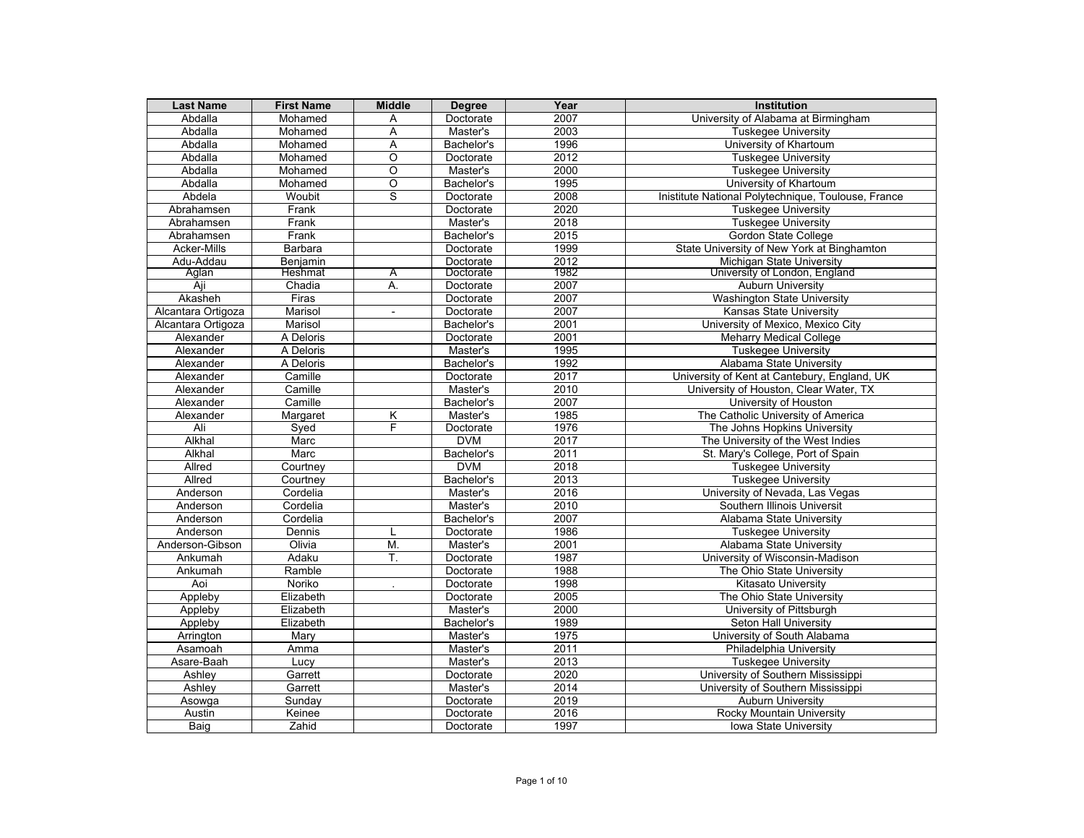| <b>Last Name</b>   | <b>First Name</b> | <b>Middle</b>  | <b>Degree</b> | Year | Institution                                         |
|--------------------|-------------------|----------------|---------------|------|-----------------------------------------------------|
| Abdalla            | Mohamed           | Α              | Doctorate     | 2007 | University of Alabama at Birmingham                 |
| Abdalla            | Mohamed           | Α              | Master's      | 2003 | <b>Tuskegee University</b>                          |
| Abdalla            | Mohamed           | A              | Bachelor's    | 1996 | University of Khartoum                              |
| Abdalla            | Mohamed           | O              | Doctorate     | 2012 | <b>Tuskegee University</b>                          |
| Abdalla            | Mohamed           | O              | Master's      | 2000 | <b>Tuskegee University</b>                          |
| Abdalla            | Mohamed           | O              | Bachelor's    | 1995 | University of Khartoum                              |
| Abdela             | Woubit            | s              | Doctorate     | 2008 | Inistitute National Polytechnique, Toulouse, France |
| Abrahamsen         | Frank             |                | Doctorate     | 2020 | <b>Tuskegee University</b>                          |
| Abrahamsen         | Frank             |                | Master's      | 2018 | <b>Tuskegee University</b>                          |
| Abrahamsen         | Frank             |                | Bachelor's    | 2015 | Gordon State College                                |
| <b>Acker-Mills</b> | Barbara           |                | Doctorate     | 1999 | State University of New York at Binghamton          |
| Adu-Addau          | Benjamin          |                | Doctorate     | 2012 | Michigan State University                           |
| Aglan              | Heshmat           | Α              | Doctorate     | 1982 | University of London, England                       |
| Aji                | Chadia            | А.             | Doctorate     | 2007 | <b>Auburn University</b>                            |
| Akasheh            | Firas             |                | Doctorate     | 2007 | <b>Washington State University</b>                  |
| Alcantara Ortigoza | Marisol           | $\blacksquare$ | Doctorate     | 2007 | <b>Kansas State University</b>                      |
| Alcantara Ortigoza | Marisol           |                | Bachelor's    | 2001 | University of Mexico, Mexico City                   |
| Alexander          | A Deloris         |                | Doctorate     | 2001 | <b>Meharry Medical College</b>                      |
| Alexander          | A Deloris         |                | Master's      | 1995 | <b>Tuskegee University</b>                          |
| Alexander          | A Deloris         |                | Bachelor's    | 1992 | Alabama State University                            |
| Alexander          | Camille           |                | Doctorate     | 2017 | University of Kent at Cantebury, England, UK        |
| Alexander          | Camille           |                | Master's      | 2010 | University of Houston, Clear Water, TX              |
| Alexander          | Camille           |                | Bachelor's    | 2007 | University of Houston                               |
| Alexander          | Margaret          | Κ              | Master's      | 1985 | The Catholic University of America                  |
| Ali                | Syed              | F              | Doctorate     | 1976 | The Johns Hopkins University                        |
| Alkhal             | Marc              |                | <b>DVM</b>    | 2017 | The University of the West Indies                   |
| Alkhal             | Marc              |                | Bachelor's    | 2011 | St. Mary's College, Port of Spain                   |
| Allred             | Courtney          |                | <b>DVM</b>    | 2018 | <b>Tuskegee University</b>                          |
| Allred             | Courtney          |                | Bachelor's    | 2013 | <b>Tuskegee University</b>                          |
| Anderson           | Cordelia          |                | Master's      | 2016 | University of Nevada, Las Vegas                     |
| Anderson           | Cordelia          |                | Master's      | 2010 | Southern Illinois Universit                         |
| Anderson           | Cordelia          |                | Bachelor's    | 2007 | Alabama State University                            |
| Anderson           | Dennis            | L              | Doctorate     | 1986 | <b>Tuskegee University</b>                          |
| Anderson-Gibson    | Olivia            | M.             | Master's      | 2001 | Alabama State University                            |
| Ankumah            | Adaku             | T.             | Doctorate     | 1987 | University of Wisconsin-Madison                     |
| Ankumah            | Ramble            |                | Doctorate     | 1988 | The Ohio State University                           |
| Aoi                | Noriko            |                | Doctorate     | 1998 | Kitasato University                                 |
| Appleby            | Elizabeth         |                | Doctorate     | 2005 | The Ohio State University                           |
| Appleby            | Elizabeth         |                | Master's      | 2000 | University of Pittsburgh                            |
| Appleby            | Elizabeth         |                | Bachelor's    | 1989 | Seton Hall University                               |
| Arrington          | Mary              |                | Master's      | 1975 | University of South Alabama                         |
| Asamoah            | Amma              |                | Master's      | 2011 | Philadelphia University                             |
| Asare-Baah         | Lucy              |                | Master's      | 2013 | <b>Tuskegee University</b>                          |
| Ashley             | Garrett           |                | Doctorate     | 2020 | University of Southern Mississippi                  |
| Ashley             | Garrett           |                | Master's      | 2014 | University of Southern Mississippi                  |
| Asowga             | Sunday            |                | Doctorate     | 2019 | <b>Auburn University</b>                            |
| Austin             | Keinee            |                | Doctorate     | 2016 | <b>Rocky Mountain University</b>                    |
| Baig               | Zahid             |                | Doctorate     | 1997 | Iowa State University                               |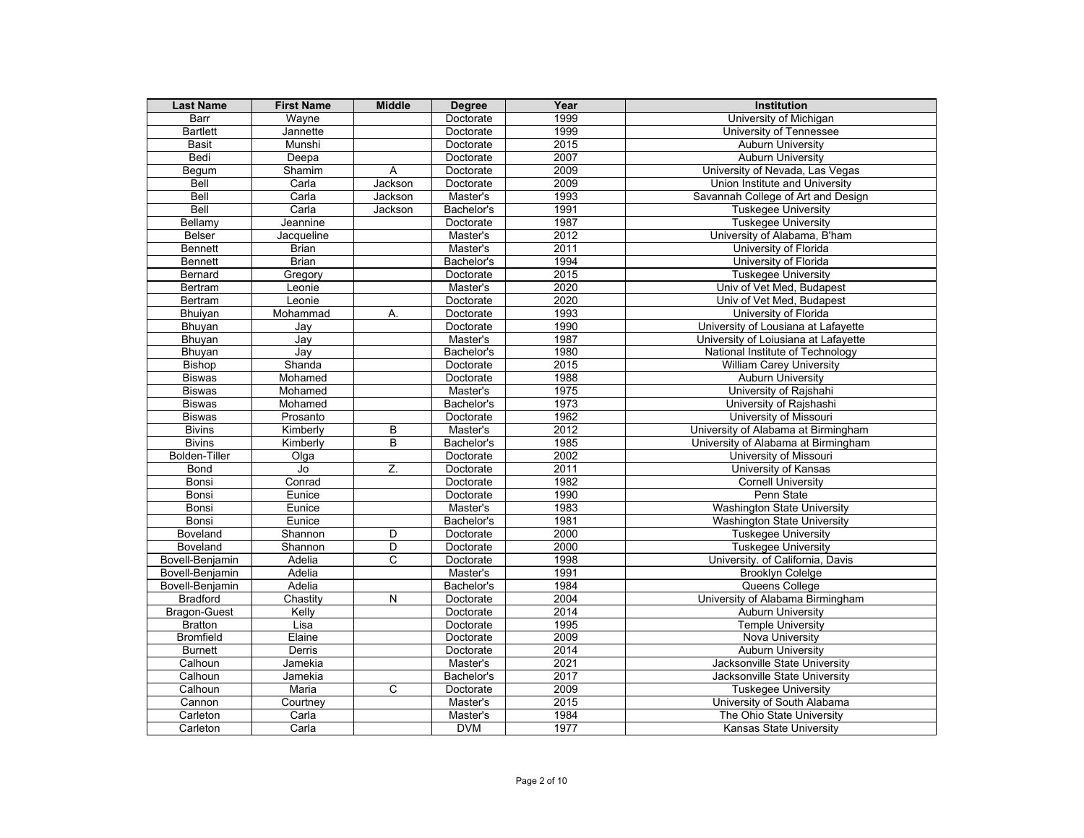| <b>Last Name</b>     | <b>First Name</b>                 | <b>Middle</b> | <b>Degree</b> | Year | <b>Institution</b>                   |
|----------------------|-----------------------------------|---------------|---------------|------|--------------------------------------|
| Barr                 | Wavne                             |               | Doctorate     | 1999 | University of Michigan               |
| <b>Bartlett</b>      | Jannette                          |               | Doctorate     | 1999 | University of Tennessee              |
| <b>Basit</b>         | Munshi                            |               | Doctorate     | 2015 | <b>Auburn University</b>             |
| Bedi                 | Deepa                             |               | Doctorate     | 2007 | <b>Auburn University</b>             |
| Begum                | Shamim                            | A             | Doctorate     | 2009 | University of Nevada, Las Vegas      |
| <b>Bell</b>          | Carla                             | Jackson       | Doctorate     | 2009 | Union Institute and University       |
| Bell                 | Carla                             | Jackson       | Master's      | 1993 | Savannah College of Art and Design   |
| Bell                 | Carla                             | Jackson       | Bachelor's    | 1991 | Tuskegee University                  |
| Bellamy              | Jeannine                          |               | Doctorate     | 1987 | <b>Tuskegee University</b>           |
| Belser               | Jacqueline                        |               | Master's      | 2012 | University of Alabama, B'ham         |
| <b>Bennett</b>       | <b>Brian</b>                      |               | Master's      | 2011 | University of Florida                |
| <b>Bennett</b>       | <b>Brian</b>                      |               | Bachelor's    | 1994 | University of Florida                |
| <b>Bernard</b>       | Gregory                           |               | Doctorate     | 2015 | <b>Tuskegee University</b>           |
| Bertram              | Leonie                            |               | Master's      | 2020 | Univ of Vet Med, Budapest            |
| <b>Bertram</b>       | Leonie                            |               | Doctorate     | 2020 | Univ of Vet Med, Budapest            |
| Bhuiyan              | Mohammad                          | А.            | Doctorate     | 1993 | University of Florida                |
| Bhuyan               | Jay                               |               | Doctorate     | 1990 | University of Lousiana at Lafayette  |
| <b>Bhuyan</b>        | Jay                               |               | Master's      | 1987 | University of Loiusiana at Lafayette |
| Bhuyan               | Jay                               |               | Bachelor's    | 1980 | National Institute of Technology     |
| <b>Bishop</b>        | Shanda                            |               | Doctorate     | 2015 | <b>William Carey University</b>      |
| <b>Biswas</b>        | Mohamed                           |               | Doctorate     | 1988 | <b>Auburn University</b>             |
| <b>Biswas</b>        | Mohamed                           |               | Master's      | 1975 | University of Rajshahi               |
| <b>Biswas</b>        | Mohamed                           |               | Bachelor's    | 1973 | University of Rajshashi              |
| <b>Biswas</b>        | Prosanto                          |               | Doctorate     | 1962 | University of Missouri               |
| <b>Bivins</b>        | Kimberly                          | B             | Master's      | 2012 | University of Alabama at Birmingham  |
| <b>Bivins</b>        | Kimberly                          | B             | Bachelor's    | 1985 | University of Alabama at Birmingham  |
| <b>Bolden-Tiller</b> | Olga                              |               | Doctorate     | 2002 | University of Missouri               |
| Bond                 | $\overline{\mathsf{J}\mathsf{o}}$ | Z.            | Doctorate     | 2011 | University of Kansas                 |
| Bonsi                | Conrad                            |               | Doctorate     | 1982 | <b>Cornell University</b>            |
| Bonsi                | Eunice                            |               | Doctorate     | 1990 | Penn State                           |
| Bonsi                | Eunice                            |               | Master's      | 1983 | <b>Washington State University</b>   |
| Bonsi                | Eunice                            |               | Bachelor's    | 1981 | <b>Washington State University</b>   |
| Boveland             | Shannon                           | D             | Doctorate     | 2000 | <b>Tuskegee University</b>           |
| Boveland             | Shannon                           | D             | Doctorate     | 2000 | <b>Tuskegee University</b>           |
| Bovell-Benjamin      | Adelia                            | C             | Doctorate     | 1998 | University. of California, Davis     |
| Bovell-Benjamin      | Adelia                            |               | Master's      | 1991 | <b>Brooklyn Colelge</b>              |
| Bovell-Benjamin      | Adelia                            |               | Bachelor's    | 1984 | Queens College                       |
| <b>Bradford</b>      | Chastity                          | N             | Doctorate     | 2004 | University of Alabama Birmingham     |
| <b>Bragon-Guest</b>  | Kelly                             |               | Doctorate     | 2014 | <b>Auburn University</b>             |
| <b>Bratton</b>       | Lisa                              |               | Doctorate     | 1995 | <b>Temple University</b>             |
| <b>Bromfield</b>     | Elaine                            |               | Doctorate     | 2009 | Nova University                      |
| <b>Burnett</b>       | Derris                            |               | Doctorate     | 2014 | <b>Auburn University</b>             |
| Calhoun              | Jamekia                           |               | Master's      | 2021 | Jacksonville State University        |
| Calhoun              | Jamekia                           |               | Bachelor's    | 2017 | Jacksonville State University        |
| Calhoun              | Maria                             | C             | Doctorate     | 2009 | <b>Tuskegee University</b>           |
| Cannon               | Courtney                          |               | Master's      | 2015 | University of South Alabama          |
| Carleton             | Carla                             |               | Master's      | 1984 | The Ohio State University            |
| Carleton             | Carla                             |               | <b>DVM</b>    | 1977 | Kansas State University              |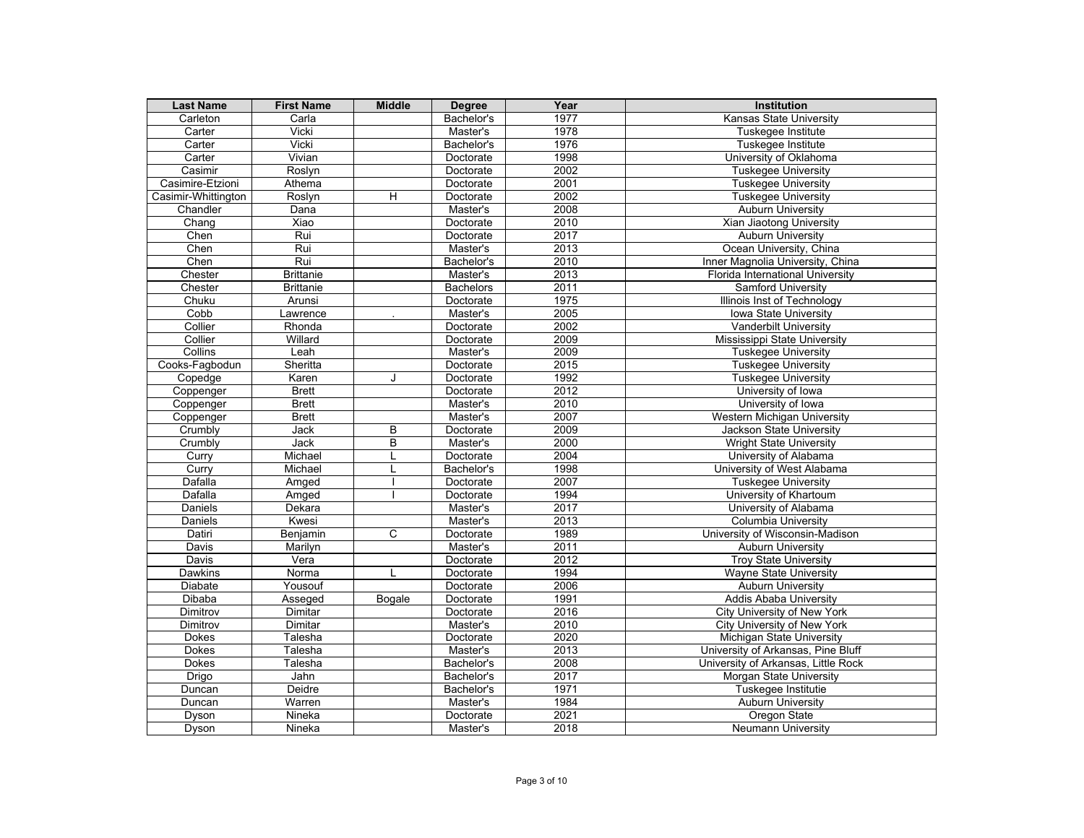| <b>Last Name</b>      | <b>First Name</b> | <b>Middle</b>  | <b>Degree</b>            | Year         | <b>Institution</b>                             |
|-----------------------|-------------------|----------------|--------------------------|--------------|------------------------------------------------|
| Carleton              | Carla             |                | Bachelor's               | 1977         | Kansas State University                        |
| Carter                | <b>Vicki</b>      |                | Master's                 | 1978         | Tuskegee Institute                             |
| Carter                | Vicki             |                | Bachelor's               | 1976         | Tuskegee Institute                             |
| Carter                | Vivian            |                | Doctorate                | 1998         | University of Oklahoma                         |
| Casimir               | Roslyn            |                | Doctorate                | 2002         | <b>Tuskegee University</b>                     |
| Casimire-Etzioni      | Athema            |                | Doctorate                | 2001         | <b>Tuskegee University</b>                     |
| Casimir-Whittington   | Roslyn            | $\overline{H}$ | Doctorate                | 2002         | <b>Tuskegee University</b>                     |
| Chandler              | Dana              |                | Master's                 | 2008         | <b>Auburn University</b>                       |
| Chang                 | Xiao              |                | Doctorate                | 2010         | Xian Jiaotong University                       |
| Chen                  | Rui               |                | Doctorate                | 2017         | <b>Auburn University</b>                       |
| Chen                  | Rui               |                | Master's                 | 2013         | Ocean University, China                        |
| Chen                  | Rui               |                | Bachelor's               | 2010         | Inner Magnolia University, China               |
| Chester               | <b>Brittanie</b>  |                | Master's                 | 2013         | Florida International University               |
| Chester               | <b>Brittanie</b>  |                | <b>Bachelors</b>         | 2011         | <b>Samford University</b>                      |
| Chuku                 | Arunsi            |                | Doctorate                | 1975         | Illinois Inst of Technology                    |
| Cobb                  | Lawrence          |                | Master's                 | 2005         | Iowa State University                          |
| Collier               | Rhonda            |                | Doctorate                | 2002         | <b>Vanderbilt University</b>                   |
| Collier               | Willard           |                | Doctorate                | 2009         | Mississippi State University                   |
| Collins               | Leah              |                | Master's                 | 2009         | <b>Tuskegee University</b>                     |
| Cooks-Fagbodun        | Sheritta          |                | Doctorate                | 2015         | <b>Tuskegee University</b>                     |
| Copedge               | Karen             | J              | Doctorate                | 1992         | <b>Tuskegee University</b>                     |
| Coppenger             | <b>Brett</b>      |                | Doctorate                | 2012         | University of Iowa                             |
| Coppenger             | <b>Brett</b>      |                | Master's                 | 2010         | University of Iowa                             |
| Coppenger             | <b>Brett</b>      |                | Master's                 | 2007         | Western Michigan University                    |
| Crumbly               | Jack              | B              | Doctorate                | 2009         | Jackson State University                       |
| Crumbly               | Jack              | B              | Master's                 | 2000         | <b>Wright State University</b>                 |
| Curry                 | Michael           |                | Doctorate                | 2004         | University of Alabama                          |
| Curry                 | Michael           |                | Bachelor's               | 1998         | University of West Alabama                     |
| Dafalla               | Amged             |                | Doctorate                | 2007         | <b>Tuskegee University</b>                     |
| Dafalla               | Amged             |                | Doctorate                | 1994         | University of Khartoum                         |
| Daniels               | Dekara            |                | Master's                 | 2017         | University of Alabama                          |
| Daniels               | Kwesi             |                | Master's                 | 2013         | <b>Columbia University</b>                     |
| Datiri                | Benjamin          | C              | Doctorate                | 1989         | University of Wisconsin-Madison                |
| <b>Davis</b>          | Marilyn           |                | Master's                 | 2011         | <b>Auburn University</b>                       |
| Davis                 | Vera              |                | Doctorate                | 2012         | <b>Troy State University</b>                   |
| <b>Dawkins</b>        | Norma             | $\mathbf{L}$   | Doctorate                | 1994         | Wayne State University                         |
| Diabate               | Yousouf           |                | Doctorate                | 2006<br>1991 | <b>Auburn University</b>                       |
| Dibaba                | Asseged           | Bogale         | Doctorate                |              | <b>Addis Ababa University</b>                  |
| Dimitrov              | Dimitar           |                | Doctorate                | 2016<br>2010 | City University of New York                    |
| Dimitrov              | Dimitar           |                | Master's                 |              | City University of New York                    |
| Dokes<br><b>Dokes</b> | Talesha           |                | Doctorate                | 2020<br>2013 | Michigan State University                      |
|                       | Talesha           |                | Master's                 |              | University of Arkansas, Pine Bluff             |
| Dokes                 | Talesha           |                | Bachelor's               | 2008<br>2017 | University of Arkansas, Little Rock            |
| <b>Drigo</b>          | Jahn<br>Deidre    |                | Bachelor's<br>Bachelor's | 1971         | Morgan State University<br>Tuskegee Institutie |
| Duncan<br>Duncan      | Warren            |                |                          | 1984         |                                                |
|                       | Nineka            |                | Master's<br>Doctorate    | 2021         | <b>Auburn University</b>                       |
| Dyson                 |                   |                |                          |              | Oregon State                                   |
| Dyson                 | Nineka            |                | Master's                 | 2018         | <b>Neumann University</b>                      |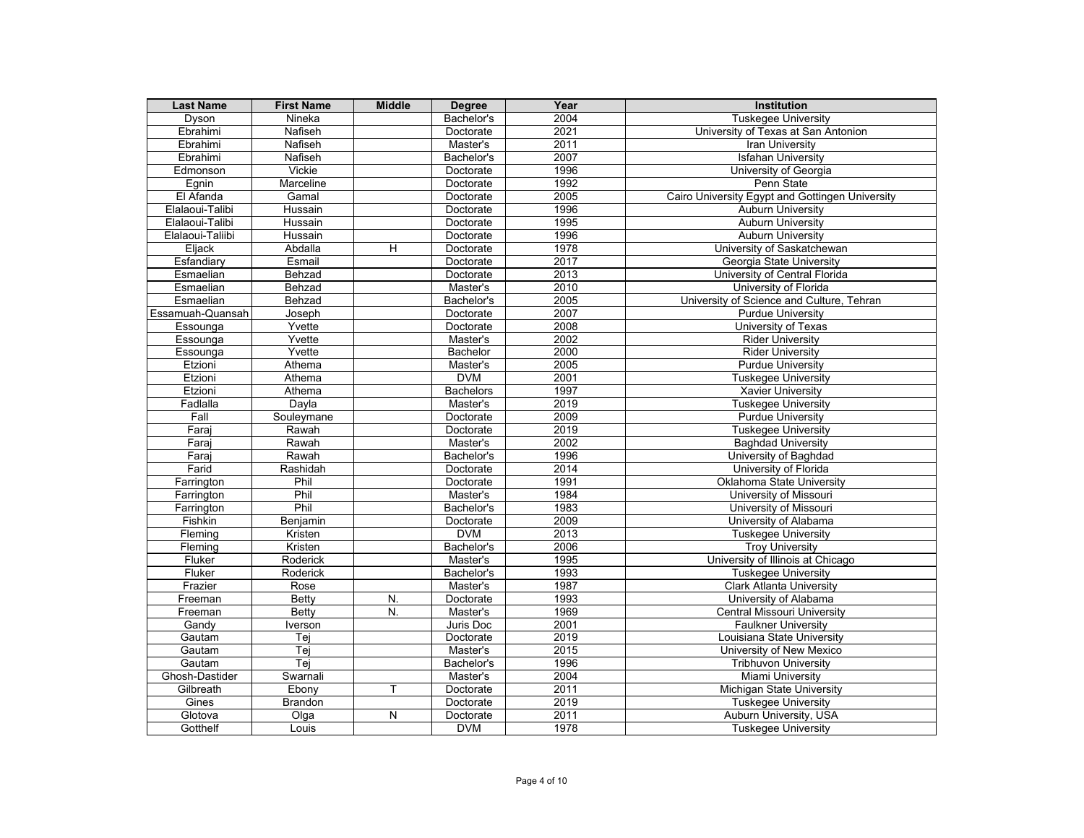| <b>Last Name</b> | <b>First Name</b> | <b>Middle</b> | <b>Degree</b>    | Year | Institution                                     |
|------------------|-------------------|---------------|------------------|------|-------------------------------------------------|
| Dyson            | Nineka            |               | Bachelor's       | 2004 | <b>Tuskegee University</b>                      |
| Ebrahimi         | Nafiseh           |               | Doctorate        | 2021 | University of Texas at San Antonion             |
| Ebrahimi         | Nafiseh           |               | Master's         | 2011 | <b>Iran University</b>                          |
| Ebrahimi         | Nafiseh           |               | Bachelor's       | 2007 | <b>Isfahan University</b>                       |
| Edmonson         | Vickie            |               | Doctorate        | 1996 | University of Georgia                           |
| Egnin            | Marceline         |               | Doctorate        | 1992 | Penn State                                      |
| El Afanda        | Gamal             |               | Doctorate        | 2005 | Cairo University Egypt and Gottingen University |
| Elalaoui-Talibi  | Hussain           |               | Doctorate        | 1996 | <b>Auburn University</b>                        |
| Elalaoui-Talibi  | Hussain           |               | Doctorate        | 1995 | <b>Auburn University</b>                        |
| Elalaoui-Taliibi | Hussain           |               | Doctorate        | 1996 | <b>Auburn University</b>                        |
| Eljack           | Abdalla           | H             | Doctorate        | 1978 | University of Saskatchewan                      |
| Esfandiary       | Esmail            |               | Doctorate        | 2017 | Georgia State University                        |
| Esmaelian        | Behzad            |               | Doctorate        | 2013 | University of Central Florida                   |
| Esmaelian        | Behzad            |               | Master's         | 2010 | University of Florida                           |
| Esmaelian        | Behzad            |               | Bachelor's       | 2005 | University of Science and Culture, Tehran       |
| Essamuah-Quansah | Joseph            |               | Doctorate        | 2007 | <b>Purdue University</b>                        |
| Essounga         | Yvette            |               | Doctorate        | 2008 | University of Texas                             |
| Essounga         | Yvette            |               | Master's         | 2002 | <b>Rider University</b>                         |
| Essounga         | Yvette            |               | Bachelor         | 2000 | <b>Rider University</b>                         |
| Etzioni          | Athema            |               | Master's         | 2005 | <b>Purdue University</b>                        |
| Etzioni          | Athema            |               | <b>DVM</b>       | 2001 | <b>Tuskegee University</b>                      |
| Etzioni          | Athema            |               | <b>Bachelors</b> | 1997 | <b>Xavier University</b>                        |
| Fadlalla         | Dayla             |               | Master's         | 2019 | <b>Tuskegee University</b>                      |
| Fall             | Souleymane        |               | Doctorate        | 2009 | <b>Purdue University</b>                        |
| Faraj            | Rawah             |               | Doctorate        | 2019 | <b>Tuskegee University</b>                      |
| Faraj            | Rawah             |               | Master's         | 2002 | <b>Baghdad University</b>                       |
| Faraj            | Rawah             |               | Bachelor's       | 1996 | University of Baghdad                           |
| Farid            | Rashidah          |               | Doctorate        | 2014 | University of Florida                           |
| Farrington       | Phil              |               | Doctorate        | 1991 | Oklahoma State University                       |
| Farrington       | Phil              |               | Master's         | 1984 | University of Missouri                          |
| Farrington       | Phil              |               | Bachelor's       | 1983 | University of Missouri                          |
| Fishkin          | Benjamin          |               | Doctorate        | 2009 | University of Alabama                           |
| Fleming          | Kristen           |               | <b>DVM</b>       | 2013 | <b>Tuskegee University</b>                      |
| Fleming          | Kristen           |               | Bachelor's       | 2006 | <b>Troy University</b>                          |
| Fluker           | Roderick          |               | Master's         | 1995 | University of Illinois at Chicago               |
| Fluker           | Roderick          |               | Bachelor's       | 1993 | <b>Tuskegee University</b>                      |
| Frazier          | Rose              |               | Master's         | 1987 | <b>Clark Atlanta University</b>                 |
| Freeman          | <b>Betty</b>      | N.            | Doctorate        | 1993 | University of Alabama                           |
| Freeman          | <b>Betty</b>      | N.            | Master's         | 1969 | <b>Central Missouri University</b>              |
| Gandy            | Iverson           |               | Juris Doc        | 2001 | <b>Faulkner University</b>                      |
| Gautam           | Tej               |               | Doctorate        | 2019 | Louisiana State University                      |
| Gautam           | Tej               |               | Master's         | 2015 | University of New Mexico                        |
| Gautam           | Tej               |               | Bachelor's       | 1996 | <b>Tribhuvon University</b>                     |
| Ghosh-Dastider   | Swarnali          |               | Master's         | 2004 | Miami University                                |
| Gilbreath        | Ebony             | T             | Doctorate        | 2011 | Michigan State University                       |
| Gines            | <b>Brandon</b>    |               | Doctorate        | 2019 | <b>Tuskegee University</b>                      |
| Glotova          | Olga              | N             | Doctorate        | 2011 | Auburn University, USA                          |
| Gotthelf         | Louis             |               | <b>DVM</b>       | 1978 | <b>Tuskegee University</b>                      |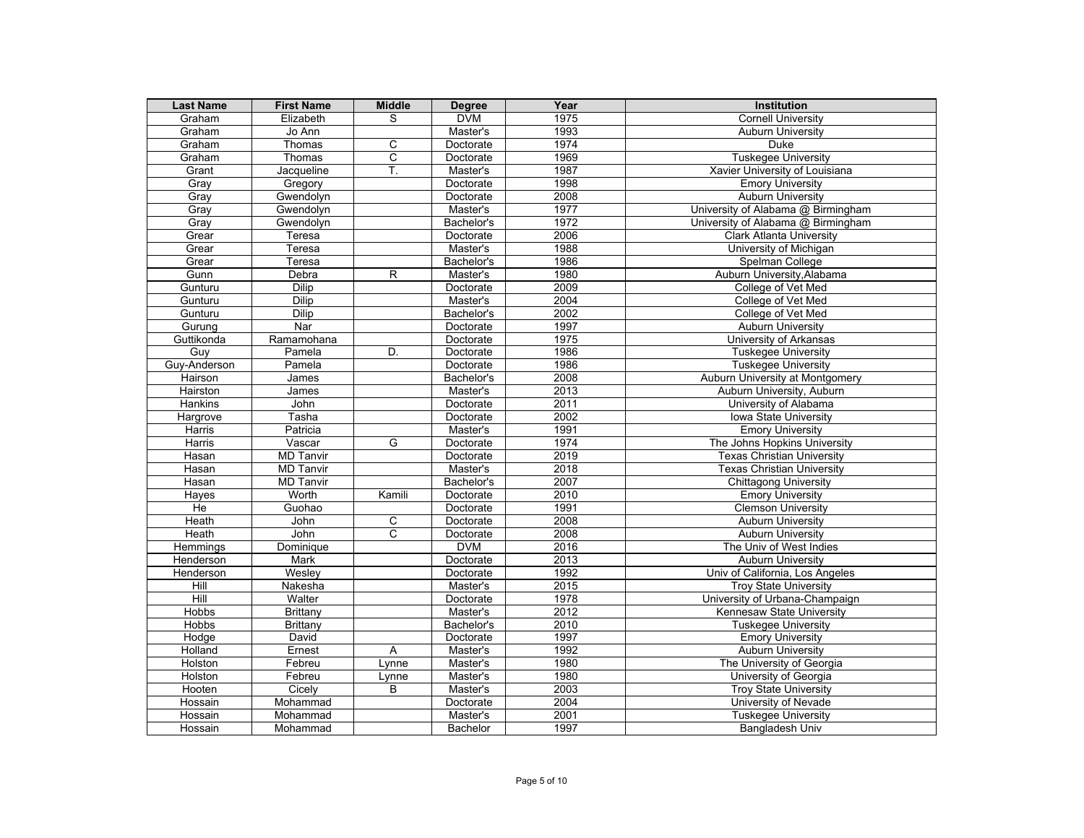| <b>Last Name</b> | <b>First Name</b> | <b>Middle</b>  | Degree          | Year | <b>Institution</b>                 |
|------------------|-------------------|----------------|-----------------|------|------------------------------------|
| Graham           | Elizabeth         | S              | <b>DVM</b>      | 1975 | <b>Cornell University</b>          |
| Graham           | Jo Ann            |                | Master's        | 1993 | <b>Auburn University</b>           |
| Graham           | Thomas            | C              | Doctorate       | 1974 | Duke                               |
| Graham           | Thomas            | C              | Doctorate       | 1969 | <b>Tuskegee University</b>         |
| Grant            | Jacqueline        | T.             | Master's        | 1987 | Xavier University of Louisiana     |
| Gray             | Gregory           |                | Doctorate       | 1998 | <b>Emory University</b>            |
| Grav             | Gwendolyn         |                | Doctorate       | 2008 | <b>Auburn University</b>           |
| Gray             | Gwendolyn         |                | Master's        | 1977 | University of Alabama @ Birmingham |
| Gray             | Gwendolyn         |                | Bachelor's      | 1972 | University of Alabama @ Birmingham |
| Grear            | Teresa            |                | Doctorate       | 2006 | <b>Clark Atlanta University</b>    |
| Grear            | Teresa            |                | Master's        | 1988 | University of Michigan             |
| Grear            | Teresa            |                | Bachelor's      | 1986 | Spelman College                    |
| Gunn             | Debra             | $\overline{R}$ | Master's        | 1980 | Auburn University, Alabama         |
| Gunturu          | <b>Dilip</b>      |                | Doctorate       | 2009 | College of Vet Med                 |
| Gunturu          | <b>Dilip</b>      |                | Master's        | 2004 | College of Vet Med                 |
| Gunturu          | <b>Dilip</b>      |                | Bachelor's      | 2002 | College of Vet Med                 |
| Guruna           | Nar               |                | Doctorate       | 1997 | <b>Auburn University</b>           |
| Guttikonda       | Ramamohana        |                | Doctorate       | 1975 | University of Arkansas             |
| Guy              | Pamela            | D.             | Doctorate       | 1986 | <b>Tuskegee University</b>         |
| Guy-Anderson     | Pamela            |                | Doctorate       | 1986 | <b>Tuskegee University</b>         |
| Hairson          | James             |                | Bachelor's      | 2008 | Auburn University at Montgomery    |
| Hairston         | James             |                | Master's        | 2013 | Auburn University, Auburn          |
| Hankins          | John              |                | Doctorate       | 2011 | University of Alabama              |
| Hargrove         | Tasha             |                | Doctorate       | 2002 | <b>Iowa State University</b>       |
| Harris           | Patricia          |                | Master's        | 1991 | <b>Emory University</b>            |
| Harris           | Vascar            | G              | Doctorate       | 1974 | The Johns Hopkins University       |
| Hasan            | MD Tanvir         |                | Doctorate       | 2019 | <b>Texas Christian University</b>  |
| Hasan            | <b>MD Tanvir</b>  |                | Master's        | 2018 | <b>Texas Christian University</b>  |
| Hasan            | <b>MD Tanvir</b>  |                | Bachelor's      | 2007 | <b>Chittagong University</b>       |
| Hayes            | Worth             | Kamili         | Doctorate       | 2010 | <b>Emory University</b>            |
| He               | Guohao            |                | Doctorate       | 1991 | <b>Clemson University</b>          |
| Heath            | John              | $\overline{C}$ | Doctorate       | 2008 | <b>Auburn University</b>           |
| Heath            | John              | C              | Doctorate       | 2008 | <b>Auburn University</b>           |
| Hemmings         | Dominique         |                | <b>DVM</b>      | 2016 | The Univ of West Indies            |
| Henderson        | <b>Mark</b>       |                | Doctorate       | 2013 | <b>Auburn University</b>           |
| Henderson        | Wesley            |                | Doctorate       | 1992 | Univ of California, Los Angeles    |
| Hill             | Nakesha           |                | Master's        | 2015 | <b>Troy State University</b>       |
| Hill             | Walter            |                | Doctorate       | 1978 | University of Urbana-Champaign     |
| Hobbs            | Brittany          |                | Master's        | 2012 | Kennesaw State University          |
| <b>Hobbs</b>     | Brittany          |                | Bachelor's      | 2010 | <b>Tuskegee University</b>         |
| Hodge            | David             |                | Doctorate       | 1997 | <b>Emory University</b>            |
| Holland          | Ernest            | A              | Master's        | 1992 | <b>Auburn University</b>           |
| Holston          | Febreu            | Lynne          | Master's        | 1980 | The University of Georgia          |
| Holston          | Febreu            | Lynne          | Master's        | 1980 | University of Georgia              |
| Hooten           | Cicely            | B              | Master's        | 2003 | <b>Trov State University</b>       |
| Hossain          | Mohammad          |                | Doctorate       | 2004 | University of Nevade               |
| Hossain          | Mohammad          |                | Master's        | 2001 | <b>Tuskegee University</b>         |
| Hossain          | Mohammad          |                | <b>Bachelor</b> | 1997 | <b>Bangladesh Univ</b>             |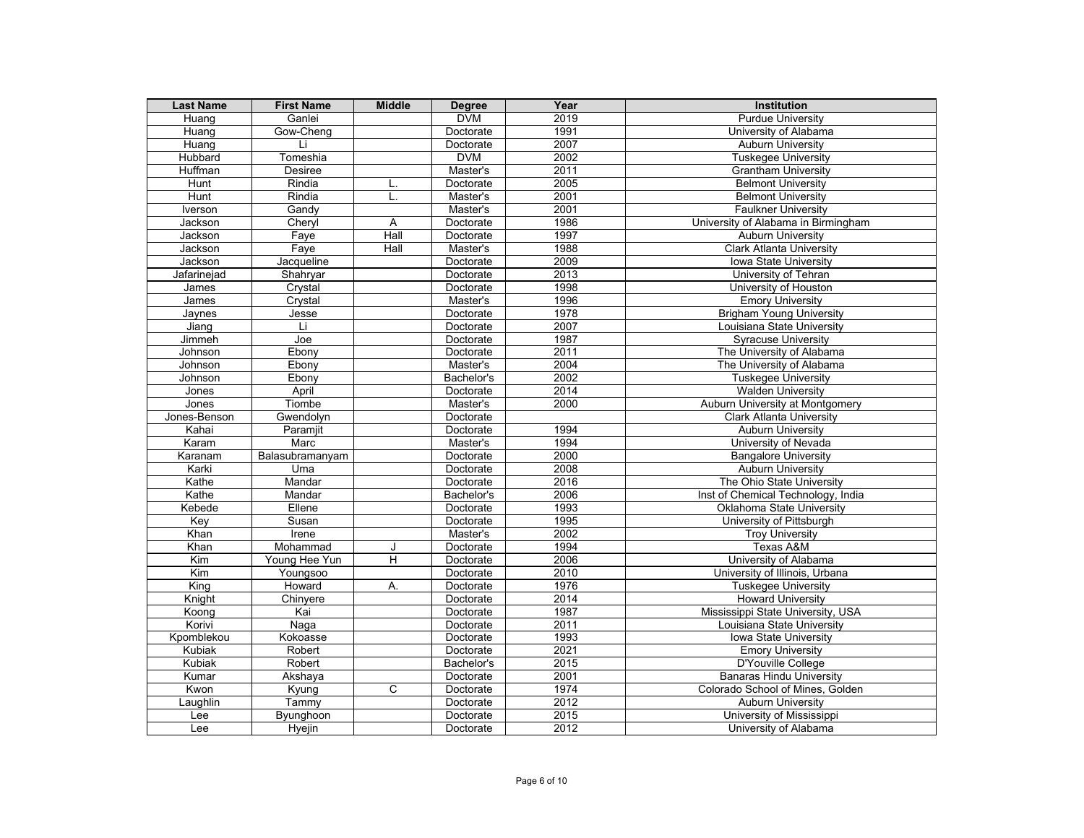| <b>Last Name</b> | <b>First Name</b> | <b>Middle</b>  | <b>Degree</b> | Year | Institution                         |
|------------------|-------------------|----------------|---------------|------|-------------------------------------|
| Huang            | Ganlei            |                | <b>DVM</b>    | 2019 | <b>Purdue University</b>            |
| Huang            | Gow-Cheng         |                | Doctorate     | 1991 | University of Alabama               |
| Huang            | Li                |                | Doctorate     | 2007 | <b>Auburn University</b>            |
| <b>Hubbard</b>   | Tomeshia          |                | <b>DVM</b>    | 2002 | <b>Tuskegee University</b>          |
| Huffman          | Desiree           |                | Master's      | 2011 | <b>Grantham University</b>          |
| Hunt             | Rindia            | L.             | Doctorate     | 2005 | <b>Belmont University</b>           |
| <b>Hunt</b>      | Rindia            | L.             | Master's      | 2001 | <b>Belmont University</b>           |
| Iverson          | Gandy             |                | Master's      | 2001 | <b>Faulkner University</b>          |
| Jackson          | Chervl            | $\overline{A}$ | Doctorate     | 1986 | University of Alabama in Birmingham |
| Jackson          | Faye              | Hall           | Doctorate     | 1997 | <b>Auburn University</b>            |
| Jackson          | Faye              | Hall           | Master's      | 1988 | <b>Clark Atlanta University</b>     |
| Jackson          | Jacqueline        |                | Doctorate     | 2009 | Iowa State University               |
| Jafarinejad      | Shahryar          |                | Doctorate     | 2013 | University of Tehran                |
| James            | Crystal           |                | Doctorate     | 1998 | University of Houston               |
| James            | Crystal           |                | Master's      | 1996 | <b>Emory University</b>             |
| Jaynes           | Jesse             |                | Doctorate     | 1978 | <b>Brigham Young University</b>     |
| Jiang            | Li                |                | Doctorate     | 2007 | Louisiana State University          |
| Jimmeh           | Joe               |                | Doctorate     | 1987 | <b>Syracuse University</b>          |
| Johnson          | Ebony             |                | Doctorate     | 2011 | The University of Alabama           |
| Johnson          | Ebony             |                | Master's      | 2004 | The University of Alabama           |
| Johnson          | Ebony             |                | Bachelor's    | 2002 | <b>Tuskegee University</b>          |
| Jones            | April             |                | Doctorate     | 2014 | <b>Walden University</b>            |
| Jones            | Tiombe            |                | Master's      | 2000 | Auburn University at Montgomery     |
| Jones-Benson     | Gwendolyn         |                | Doctorate     |      | <b>Clark Atlanta University</b>     |
| Kahai            | Paramjit          |                | Doctorate     | 1994 | <b>Auburn University</b>            |
| Karam            | Marc              |                | Master's      | 1994 | University of Nevada                |
| Karanam          | Balasubramanyam   |                | Doctorate     | 2000 | <b>Bangalore University</b>         |
| Karki            | Uma               |                | Doctorate     | 2008 | <b>Auburn University</b>            |
| Kathe            | Mandar            |                | Doctorate     | 2016 | The Ohio State University           |
| Kathe            | Mandar            |                | Bachelor's    | 2006 | Inst of Chemical Technology, India  |
| Kebede           | Ellene            |                | Doctorate     | 1993 | Oklahoma State University           |
| Key              | Susan             |                | Doctorate     | 1995 | University of Pittsburgh            |
| Khan             | <b>Irene</b>      |                | Master's      | 2002 | <b>Troy University</b>              |
| Khan             | Mohammad          | J              | Doctorate     | 1994 | Texas A&M                           |
| <b>Kim</b>       | Young Hee Yun     | $\overline{H}$ | Doctorate     | 2006 | University of Alabama               |
| <b>Kim</b>       | Youngsoo          |                | Doctorate     | 2010 | University of Illinois, Urbana      |
| King             | Howard            | А.             | Doctorate     | 1976 | <b>Tuskegee University</b>          |
| Knight           | Chinyere          |                | Doctorate     | 2014 | <b>Howard University</b>            |
| Koong            | Kai               |                | Doctorate     | 1987 | Mississippi State University, USA   |
| Korivi           | Naga              |                | Doctorate     | 2011 | Louisiana State University          |
| Kpomblekou       | Kokoasse          |                | Doctorate     | 1993 | Iowa State University               |
| <b>Kubiak</b>    | Robert            |                | Doctorate     | 2021 | <b>Emory University</b>             |
| Kubiak           | Robert            |                | Bachelor's    | 2015 | D'Youville College                  |
| Kumar            | Akshaya           |                | Doctorate     | 2001 | <b>Banaras Hindu University</b>     |
| Kwon             | Kyung             | C              | Doctorate     | 1974 | Colorado School of Mines, Golden    |
| Laughlin         | Tammy             |                | Doctorate     | 2012 | <b>Auburn University</b>            |
| Lee              | Byunghoon         |                | Doctorate     | 2015 | University of Mississippi           |
| Lee              | <b>Hyejin</b>     |                | Doctorate     | 2012 | University of Alabama               |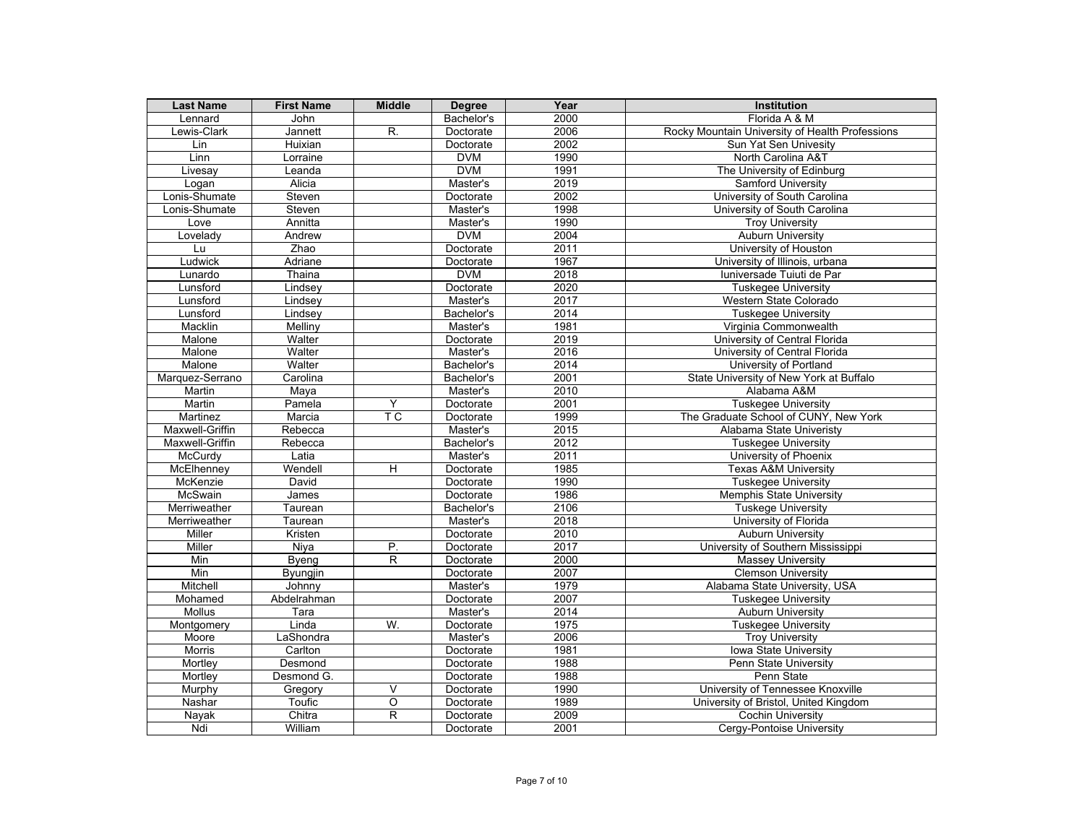| <b>Last Name</b>    | <b>First Name</b>     | <b>Middle</b>             | <b>Degree</b>         | Year         | <b>Institution</b>                                     |
|---------------------|-----------------------|---------------------------|-----------------------|--------------|--------------------------------------------------------|
| Lennard             | John                  |                           | Bachelor's            | 2000         | Florida A & M                                          |
| Lewis-Clark         | Jannett               | R.                        | Doctorate             | 2006         | Rocky Mountain University of Health Professions        |
| Lin                 | Huixian               |                           | Doctorate             | 2002         | Sun Yat Sen Univesity                                  |
| Linn                | Lorraine              |                           | <b>DVM</b>            | 1990         | North Carolina A&T                                     |
| Livesay             | Leanda                |                           | <b>DVM</b>            | 1991         | The University of Edinburg                             |
| Logan               | Alicia                |                           | Master's              | 2019         | Samford University                                     |
| Lonis-Shumate       | Steven                |                           | Doctorate             | 2002         | University of South Carolina                           |
| Lonis-Shumate       | Steven                |                           | Master's              | 1998         | University of South Carolina                           |
| Love                | Annitta               |                           | Master's              | 1990         | <b>Troy University</b>                                 |
| Lovelady            | Andrew                |                           | <b>DVM</b>            | 2004         | <b>Auburn University</b>                               |
| Lu                  | Zhao                  |                           | Doctorate             | 2011         | University of Houston                                  |
| Ludwick             | Adriane               |                           | Doctorate             | 1967         | University of Illinois, urbana                         |
| Lunardo             | Thaina                |                           | <b>DVM</b>            | 2018         | Iuniversade Tuiuti de Par                              |
| Lunsford            | Lindsey               |                           | Doctorate             | 2020         | <b>Tuskegee University</b>                             |
| Lunsford            | Lindsey               |                           | Master's              | 2017         | Western State Colorado                                 |
| Lunsford            | Lindsey               |                           | Bachelor's            | 2014         | <b>Tuskegee University</b>                             |
| Macklin             | Melliny               |                           | Master's              | 1981         | Virginia Commonwealth                                  |
| Malone              | Walter                |                           | Doctorate             | 2019         | University of Central Florida                          |
| Malone              | Walter                |                           | Master's              | 2016         | University of Central Florida                          |
| Malone              | Walter                |                           | Bachelor's            | 2014         | University of Portland                                 |
| Marquez-Serrano     | Carolina              |                           | Bachelor's            | 2001         | State University of New York at Buffalo                |
| Martin              | Maya                  |                           | Master's              | 2010         | Alabama A&M                                            |
| Martin              | Pamela                | Y                         | Doctorate             | 2001         | <b>Tuskegee University</b>                             |
| Martinez            | Marcia                | $\overline{\mathsf{T}}$ C | Doctorate             | 1999         | The Graduate School of CUNY, New York                  |
| Maxwell-Griffin     | Rebecca               |                           | Master's              | 2015         | Alabama State Univeristy                               |
| Maxwell-Griffin     | Rebecca               |                           | Bachelor's            | 2012         | Tuskegee University                                    |
| McCurdy             | Latia                 |                           | Master's              | 2011         | University of Phoenix                                  |
| McElhenney          | Wendell               | $\overline{H}$            | Doctorate             | 1985         | <b>Texas A&amp;M University</b>                        |
| McKenzie            | David                 |                           | Doctorate             | 1990         | <b>Tuskegee University</b>                             |
| McSwain             | James                 |                           | Doctorate             | 1986         | <b>Memphis State University</b>                        |
| Merriweather        | Taurean               |                           | Bachelor's            | 2106         | <b>Tuskege University</b>                              |
| Merriweather        | Taurean               |                           | Master's              | 2018         | University of Florida                                  |
| Miller              | Kristen               |                           | Doctorate             | 2010         | <b>Auburn University</b>                               |
| Miller              | Niya                  | P.                        | Doctorate             | 2017         | University of Southern Mississippi                     |
| Min                 | Byeng                 | $\mathsf{R}$              | Doctorate             | 2000         | <b>Massey University</b>                               |
| Min                 | <b>Byungjin</b>       |                           | Doctorate             | 2007         | <b>Clemson University</b>                              |
| Mitchell            | Johnny<br>Abdelrahman |                           | Master's              | 1979<br>2007 | Alabama State University, USA                          |
| Mohamed             |                       |                           | Doctorate             |              | <b>Tuskegee University</b>                             |
| <b>Mollus</b>       | Tara<br>Linda         | W.                        | Master's<br>Doctorate | 2014<br>1975 | <b>Auburn University</b>                               |
| Montgomery<br>Moore | LaShondra             |                           |                       | 2006         | <b>Tuskegee University</b>                             |
| <b>Morris</b>       | Carlton               |                           | Master's<br>Doctorate | 1981         | <b>Troy University</b><br><b>Iowa State University</b> |
| Mortley             | Desmond               |                           | Doctorate             | 1988         | Penn State University                                  |
| Mortlev             | Desmond G.            |                           | Doctorate             | 1988         | Penn State                                             |
| Murphy              | Gregory               | V                         | Doctorate             | 1990         | University of Tennessee Knoxville                      |
| Nashar              | Toufic                | $\overline{0}$            | Doctorate             | 1989         | University of Bristol, United Kingdom                  |
| <b>Nayak</b>        | Chitra                | R                         | Doctorate             | 2009         | <b>Cochin University</b>                               |
| Ndi                 | William               |                           | Doctorate             | 2001         | Cergy-Pontoise University                              |
|                     |                       |                           |                       |              |                                                        |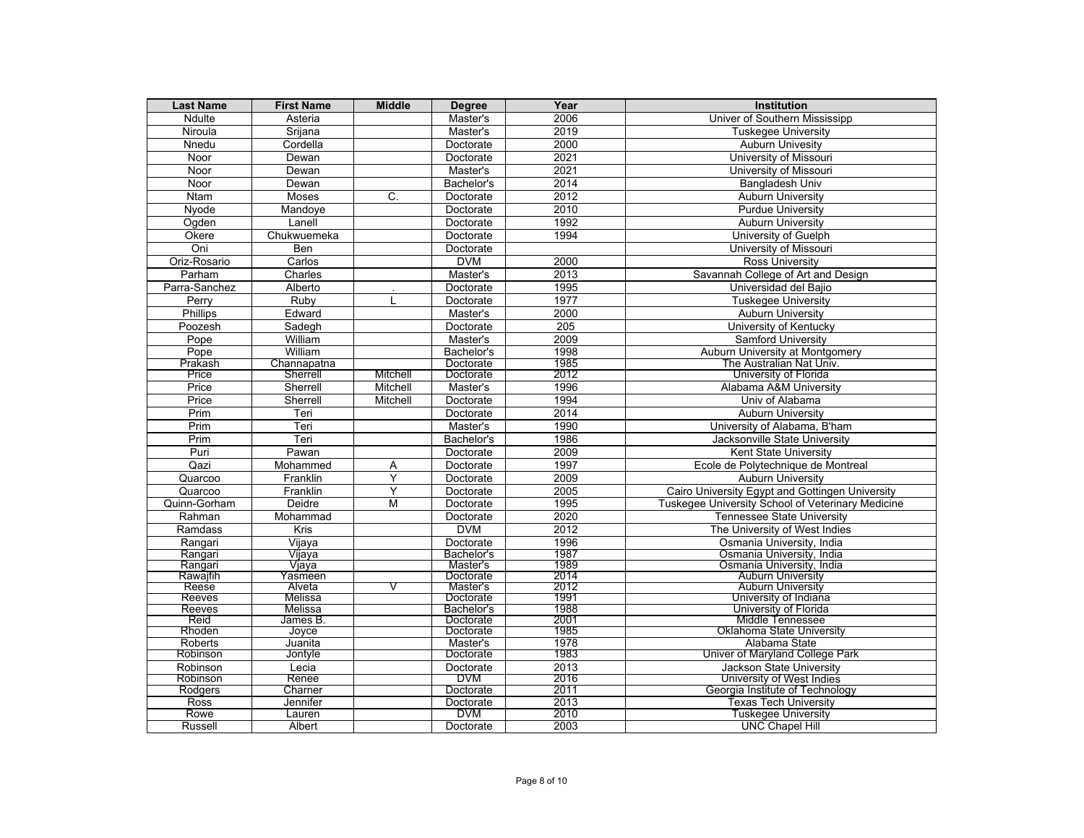| <b>Last Name</b>    | <b>First Name</b> | <b>Middle</b> | <b>Degree</b>           | Year         | <b>Institution</b>                                           |
|---------------------|-------------------|---------------|-------------------------|--------------|--------------------------------------------------------------|
| Ndulte              | Asteria           |               | Master's                | 2006         | Univer of Southern Mississipp                                |
| Niroula             | Srijana           |               | Master's                | 2019         | <b>Tuskegee University</b>                                   |
| Nnedu               | Cordella          |               | Doctorate               | 2000         | <b>Auburn Univesity</b>                                      |
| Noor                | Dewan             |               | Doctorate               | 2021         | University of Missouri                                       |
| Noor                | Dewan             |               | Master's                | 2021         | University of Missouri                                       |
| Noor                | Dewan             |               | Bachelor's              | 2014         | <b>Bangladesh Univ</b>                                       |
| <b>Ntam</b>         | <b>Moses</b>      | C.            | Doctorate               | 2012         | <b>Auburn University</b>                                     |
| Nyode               | Mandoye           |               | Doctorate               | 2010         | <b>Purdue University</b>                                     |
| Ogden               | Lanell            |               | Doctorate               | 1992         | <b>Auburn University</b>                                     |
| Okere               | Chukwuemeka       |               | Doctorate               | 1994         | University of Guelph                                         |
| Oni                 | <b>Ben</b>        |               | Doctorate               |              | University of Missouri                                       |
| Oriz-Rosario        | Carlos            |               | <b>DVM</b>              | 2000         | <b>Ross University</b>                                       |
| Parham              | Charles           |               | Master's                | 2013         | Savannah College of Art and Design                           |
| Parra-Sanchez       | Alberto           |               | Doctorate               | 1995         | Universidad del Baiio                                        |
| Perry               | Ruby              |               | Doctorate               | 1977         | <b>Tuskegee University</b>                                   |
| Phillips            | Edward            |               | Master's                | 2000         | <b>Auburn University</b>                                     |
| Poozesh             | Sadegh            |               | Doctorate               | 205          | University of Kentucky                                       |
| Pope                | William           |               | Master's                | 2009         | <b>Samford University</b>                                    |
| Pope                | William           |               | Bachelor's              | 1998         | Auburn University at Montgomery                              |
| Prakash             | Channapatna       |               | Doctorate               | 1985         | The Australian Nat Univ.                                     |
| Price               | Sherrell          | Mitchell      | Doctorate               | 2012         | University of Florida                                        |
| Price               | Sherrell          | Mitchell      | Master's                | 1996         | Alabama A&M University                                       |
| Price               | Sherrell          | Mitchell      | Doctorate               | 1994         | Univ of Alabama                                              |
| Prim                | Teri              |               | Doctorate               | 2014         | <b>Auburn University</b>                                     |
| Prim                | Teri              |               | Master's                | 1990         | University of Alabama, B'ham                                 |
| Prim                | Teri              |               | Bachelor's              | 1986         | Jacksonville State University                                |
| Puri                | Pawan             |               | Doctorate               | 2009         | <b>Kent State University</b>                                 |
| Qazi                | Mohammed          | Α             | Doctorate               | 1997         | Ecole de Polytechnique de Montreal                           |
| Quarcoo             | Franklin          | Ÿ             | Doctorate               | 2009         | <b>Auburn University</b>                                     |
| Quarcoo             | Franklin          | Y             | Doctorate               | 2005         | Cairo University Egypt and Gottingen University              |
|                     |                   | M             |                         | 1995         |                                                              |
| Quinn-Gorham        | Deidre            |               | Doctorate               |              | Tuskegee University School of Veterinary Medicine            |
| Rahman              | Mohammad          |               | Doctorate               | 2020         | <b>Tennessee State University</b>                            |
| Ramdass             | Kris              |               | <b>DVM</b>              | 2012         | The University of West Indies                                |
| Rangari             | Vijaya            |               | Doctorate               | 1996<br>1987 | Osmania University, India                                    |
| Rangari<br>Rangari  | Vijaya<br>Vjaya   |               | Bachelor's<br>Master's  | 1989         | Osmania University, India<br>Osmania University, India       |
| Rawajfih            | Yasmeen           |               | Doctorate               | 2014         | <b>Auburn University</b>                                     |
| Reese               | Alveta            | V             | Master's                | 2012         | <b>Auburn University</b>                                     |
| Reeves              | Melissa           |               | Doctorate               | 1991         | University of Indiana                                        |
| Reeves              | Melissa           |               | Bachelor's              | 1988         | University of Florida                                        |
| Reid                | James B.          |               | Doctorate               | 2001         | Middle Tennessee                                             |
| Rhoden              | Joyce             |               | Doctorate               | 1985         | Oklahoma State University                                    |
| Roberts             | Juanita           |               | Master's                | 1978         | Alabama State                                                |
| Robinson            | Jontyle           |               | Doctorate               | 1983         | Univer of Maryland College Park                              |
| Robinson            | Lecia             |               | Doctorate<br><b>DVM</b> | 2013<br>2016 | <b>Jackson State University</b>                              |
| Robinson<br>Rodgers | Renee<br>Charner  |               | Doctorate               | 2011         | University of West Indies<br>Georgia Institute of Technology |
| Ross                | Jennifer          |               | Doctorate               | 2013         | <b>Texas Tech University</b>                                 |
| Rowe                | Lauren            |               | <b>DVM</b>              | 2010         | Tuskegee University                                          |
| <b>Russell</b>      | Albert            |               | Doctorate               | 2003         | <b>UNC Chapel Hill</b>                                       |
|                     |                   |               |                         |              |                                                              |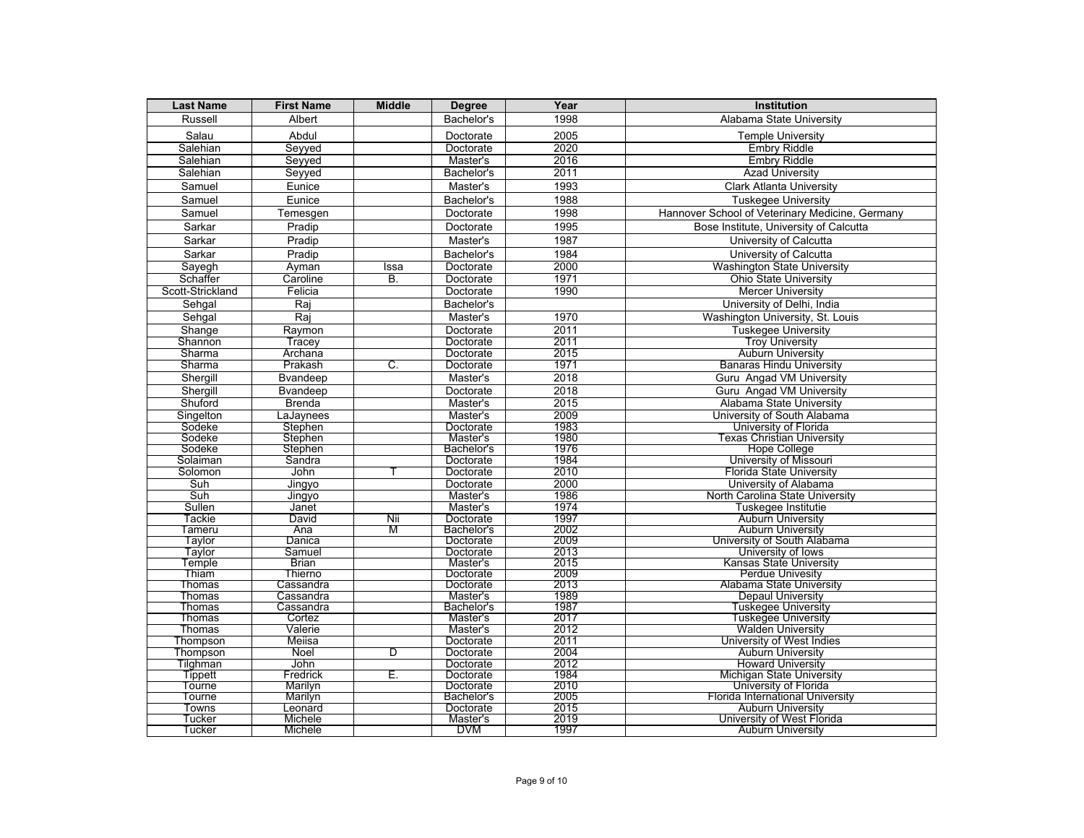| <b>Last Name</b> | <b>First Name</b>      | <b>Middle</b> | <b>Degree</b>         | Year         | <b>Institution</b>                              |
|------------------|------------------------|---------------|-----------------------|--------------|-------------------------------------------------|
| Russell          | Albert                 |               | Bachelor's            | 1998         | Alabama State University                        |
| Salau            | Abdul                  |               | Doctorate             | 2005         | <b>Temple University</b>                        |
| Salehian         | Seyyed                 |               | Doctorate             | 2020         | <b>Embry Riddle</b>                             |
| Salehian         | Seyyed                 |               | Master's              | 2016         | <b>Embry Riddle</b>                             |
| Salehian         | Seyyed                 |               | Bachelor's            | 2011         | <b>Azad University</b>                          |
| Samuel           | Eunice                 |               | Master's              | 1993         | <b>Clark Atlanta University</b>                 |
| Samuel           | Eunice                 |               | Bachelor's            | 1988         | <b>Tuskegee University</b>                      |
| Samuel           | Temesgen               |               | Doctorate             | 1998         | Hannover School of Veterinary Medicine, Germany |
| Sarkar           | Pradip                 |               | Doctorate             | 1995         | Bose Institute, University of Calcutta          |
| Sarkar           | Pradip                 |               | Master's              | 1987         | University of Calcutta                          |
| Sarkar           | Pradip                 |               | Bachelor's            | 1984         | University of Calcutta                          |
|                  |                        |               |                       | 2000         |                                                 |
| Sayegh           | Avman                  | Issa          | Doctorate             |              | <b>Washington State University</b>              |
| Schaffer         | Caroline               | B.            | Doctorate             | 1971         | <b>Ohio State University</b>                    |
| Scott-Strickland | Felicia                |               | Doctorate             | 1990         | <b>Mercer University</b>                        |
| Sehgal           | Raj                    |               | Bachelor's            |              | University of Delhi, India                      |
| Sehgal           | Raj                    |               | Master's              | 1970         | Washington University, St. Louis                |
| Shange           | Raymon                 |               | Doctorate             | 2011         | <b>Tuskegee University</b>                      |
| Shannon          | Tracey                 |               | Doctorate             | 2011         | <b>Troy University</b>                          |
| Sharma           | Archana                |               | Doctorate             | 2015         | <b>Auburn University</b>                        |
| Sharma           | Prakash                | C.            | Doctorate             | 1971         | <b>Banaras Hindu University</b>                 |
| Shergill         | <b>B</b> vandeep       |               | Master's              | 2018         | <b>Guru</b> Angad VM University                 |
| Shergill         | Bvandeep               |               | Doctorate             | 2018         | Guru Angad VM University                        |
| Shuford          | <b>Brenda</b>          |               | Master's              | 2015         | Alabama State University                        |
| Singelton        | LaJaynees              |               | Master's              | 2009         | University of South Alabama                     |
| Sodeke           | Stephen                |               | Doctorate             | 1983         | University of Florida                           |
| Sodeke           | Stephen                |               | Master's              | 1980         | Texas Christian Universitv                      |
| Sodeke           | Stephen                |               | Bachelor's            | 1976         | <b>Hope College</b>                             |
| Solaiman         | Sandra                 |               | Doctorate             | 1984         | University of Missouri                          |
| Solomon          | John                   |               | Doctorate             | 2010         | <b>Florida State University</b>                 |
| Suh              | Jingyo                 |               | Doctorate             | 2000         | University of Alabama                           |
| Suh              | Jingyo                 |               | Master's              | 1986         | North Carolina State University                 |
| Sullen           | Janet                  |               | Master's              | 1974         | Tuskegee Institutie                             |
| Tackie           | David                  | Nii           | Doctorate             | 1997         | <b>Auburn University</b>                        |
| Tameru           | Ana                    | M             | Bachelor's            | 2002         | Auburn University                               |
| Taylor           | Danica                 |               | Doctorate             | 2009         | University of South Alabama                     |
| Taylor           | Samuel                 |               | Doctorate             | 2013         | University of lows                              |
| Temple           | <b>Brian</b>           |               | Master's              | 2015         | <b>Kansas State University</b>                  |
| Thiam            | Thierno                |               | Doctorate             | 2009<br>2013 | <b>Perdue Univesity</b>                         |
| Thomas<br>Thomas | Cassandra<br>Cassandra |               | Doctorate<br>Master's | 1989         | Alabama State University<br>Depaul University   |
| Thomas           | Cassandra              |               | Bachelor's            | 1987         | <u>Tuskegee University</u>                      |
| Thomas           | Cortez                 |               | Master's              | 2017         | Tuskegee University                             |
| Thomas           | Valerie                |               | Master's              | 2012         | <b>Walden University</b>                        |
| Thompson         | Meiisa                 |               | Doctorate             | 2011         | University of West Indies                       |
| Thompson         | Noel                   | D             | Doctorate             | 2004         | Auburn University                               |
| Tilghman         | John                   |               | Doctorate             | 2012         | <b>Howard University</b>                        |
| Tippett          | Fredrick               | Е.            | Doctorate             | 1984         | Michigan State University                       |
| Tourne           | Marilyn                |               | Doctorate             | 2010         | University of Florida                           |
| Tourne           | Marilyn                |               | Bachelor's            | 2005         | Florida International University                |
| Towns            | Leonard                |               | Doctorate             | 2015         | <b>Auburn University</b>                        |
| Tucker           | Michele                |               | Master's              | 2019         | University of West Florida                      |
| Tucker           | Michele                |               | <b>DAM</b>            | 1997         | <b>Auburn University</b>                        |